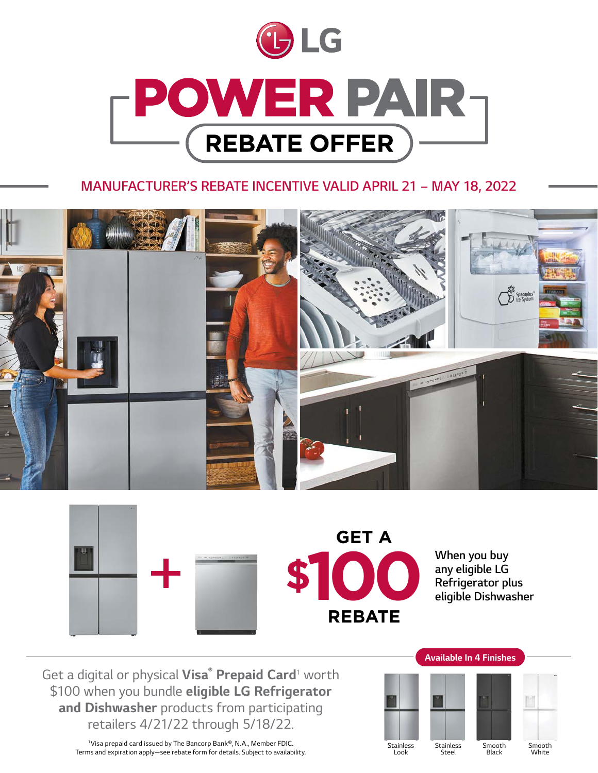

# *MANUFACTURER'S REBATE INCENTIVE VALID APRIL 21 – MAY 18, 2022*





*Get a digital or physical Visa® Prepaid Card<sup>1</sup> worth \$100 when you bundle eligible LG Refrigerator and Dishwasher products from participating retailers 4/21/22 through 5/18/22.*